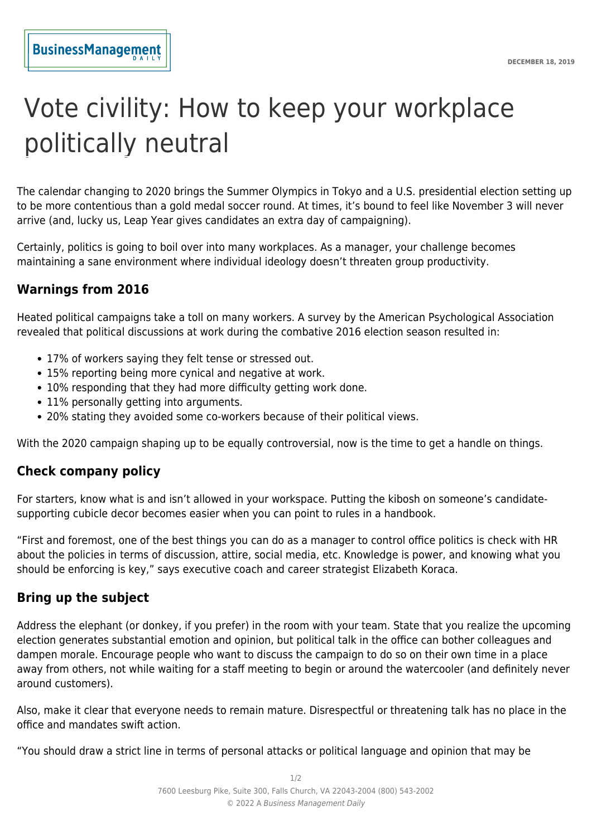# Vote civility: How to keep your workplace politically neutral

The calendar changing to 2020 brings the Summer Olympics in Tokyo and a U.S. presidential election setting up to be more contentious than a gold medal soccer round. At times, it's bound to feel like November 3 will never arrive (and, lucky us, Leap Year gives candidates an extra day of campaigning).

Certainly, politics is going to boil over into many workplaces. As a manager, your challenge becomes maintaining a sane environment where individual ideology doesn't threaten group productivity.

## **Warnings from 2016**

Heated political campaigns take a toll on many workers. A survey by the American Psychological Association revealed that political discussions at work during the combative 2016 election season resulted in:

- 17% of workers saying they felt tense or stressed out.
- 15% reporting being more cynical and negative at work.
- 10% responding that they had more difficulty getting work done.
- 11% personally getting into arguments.
- 20% stating they avoided some co-workers because of their political views.

With the 2020 campaign shaping up to be equally controversial, now is the time to get a handle on things.

#### **Check company policy**

For starters, know what is and isn't allowed in your workspace. Putting the kibosh on someone's candidatesupporting cubicle decor becomes easier when you can point to rules in a handbook.

"First and foremost, one of the best things you can do as a manager to control office politics is check with HR about the policies in terms of discussion, attire, social media, etc. Knowledge is power, and knowing what you should be enforcing is key," says executive coach and career strategist Elizabeth Koraca.

#### **Bring up the subject**

Address the elephant (or donkey, if you prefer) in the room with your team. State that you realize the upcoming election generates substantial emotion and opinion, but political talk in the office can bother colleagues and dampen morale. Encourage people who want to discuss the campaign to do so on their own time in a place away from others, not while waiting for a staff meeting to begin or around the watercooler (and definitely never around customers).

Also, make it clear that everyone needs to remain mature. Disrespectful or threatening talk has no place in the office and mandates swift action.

"You should draw a strict line in terms of personal attacks or political language and opinion that may be

1/2